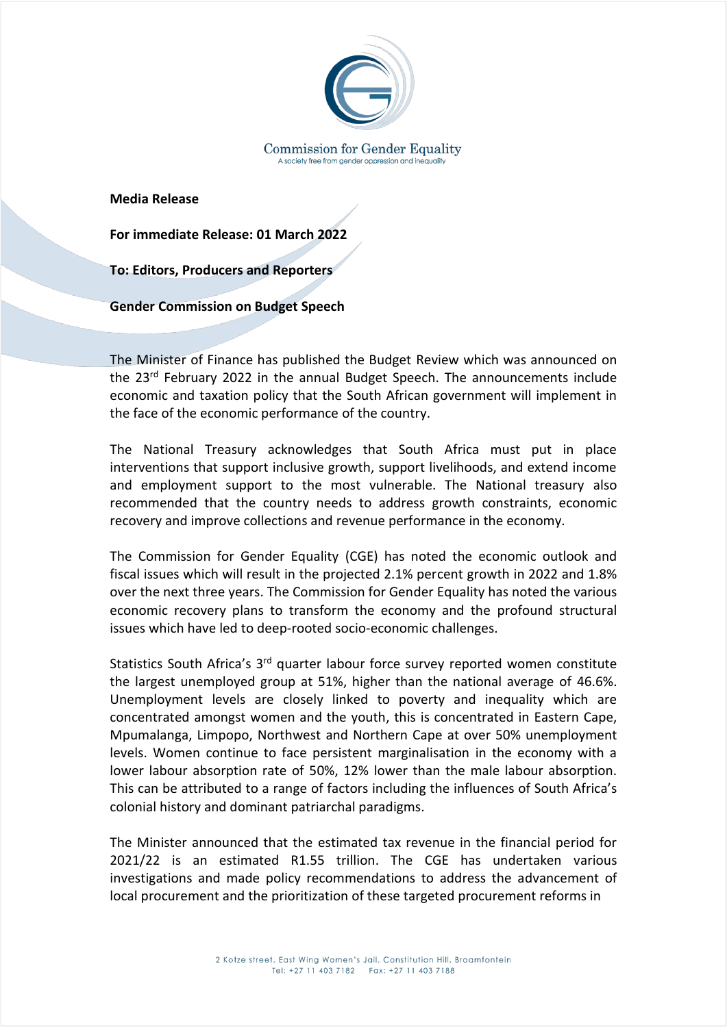

**Media Release**

**For immediate Release: 01 March 2022**

**To: Editors, Producers and Reporters** 

**Gender Commission on Budget Speech**

The Minister of Finance has published the Budget Review which was announced on the 23<sup>rd</sup> February 2022 in the annual Budget Speech. The announcements include economic and taxation policy that the South African government will implement in the face of the economic performance of the country.

The National Treasury acknowledges that South Africa must put in place interventions that support inclusive growth, support livelihoods, and extend income and employment support to the most vulnerable. The National treasury also recommended that the country needs to address growth constraints, economic recovery and improve collections and revenue performance in the economy.

The Commission for Gender Equality (CGE) has noted the economic outlook and fiscal issues which will result in the projected 2.1% percent growth in 2022 and 1.8% over the next three years. The Commission for Gender Equality has noted the various economic recovery plans to transform the economy and the profound structural issues which have led to deep-rooted socio-economic challenges.

Statistics South Africa's 3<sup>rd</sup> quarter labour force survey reported women constitute the largest unemployed group at 51%, higher than the national average of 46.6%. Unemployment levels are closely linked to poverty and inequality which are concentrated amongst women and the youth, this is concentrated in Eastern Cape, Mpumalanga, Limpopo, Northwest and Northern Cape at over 50% unemployment levels. Women continue to face persistent marginalisation in the economy with a lower labour absorption rate of 50%, 12% lower than the male labour absorption. This can be attributed to a range of factors including the influences of South Africa's colonial history and dominant patriarchal paradigms.

The Minister announced that the estimated tax revenue in the financial period for 2021/22 is an estimated R1.55 trillion. The CGE has undertaken various investigations and made policy recommendations to address the advancement of local procurement and the prioritization of these targeted procurement reforms in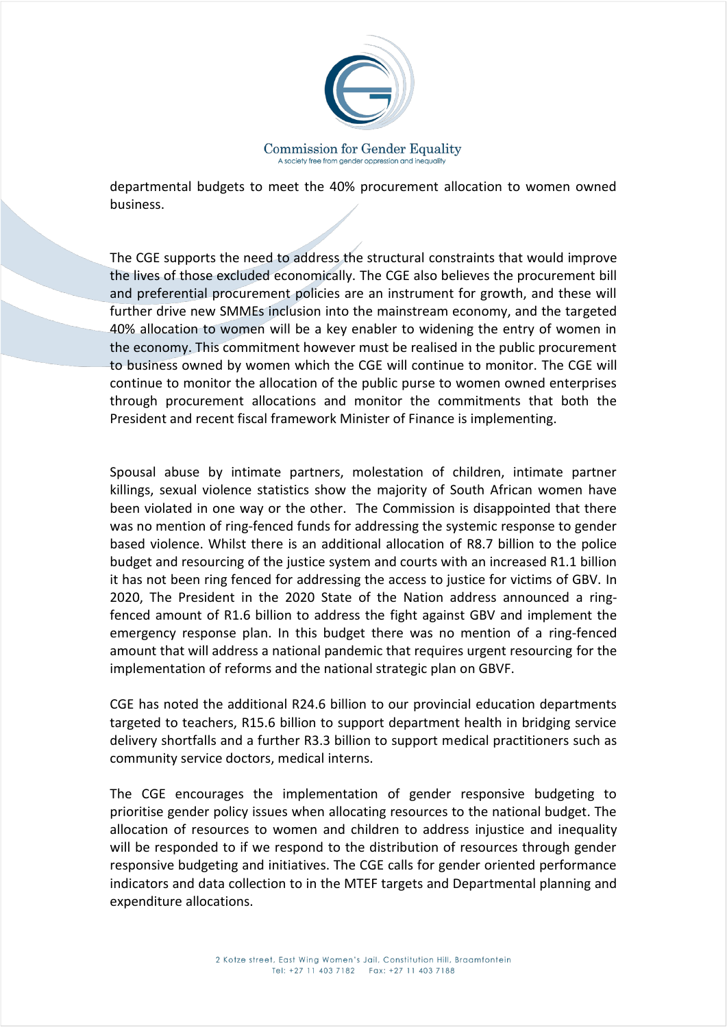

departmental budgets to meet the 40% procurement allocation to women owned business.

The CGE supports the need to address the structural constraints that would improve the lives of those excluded economically. The CGE also believes the procurement bill and preferential procurement policies are an instrument for growth, and these will further drive new SMMEs inclusion into the mainstream economy, and the targeted 40% allocation to women will be a key enabler to widening the entry of women in the economy. This commitment however must be realised in the public procurement to business owned by women which the CGE will continue to monitor. The CGE will continue to monitor the allocation of the public purse to women owned enterprises through procurement allocations and monitor the commitments that both the President and recent fiscal framework Minister of Finance is implementing.

Spousal abuse by intimate partners, molestation of children, intimate partner killings, sexual violence statistics show the majority of South African women have been violated in one way or the other. The Commission is disappointed that there was no mention of ring-fenced funds for addressing the systemic response to gender based violence. Whilst there is an additional allocation of R8.7 billion to the police budget and resourcing of the justice system and courts with an increased R1.1 billion it has not been ring fenced for addressing the access to justice for victims of GBV. In 2020, The President in the 2020 State of the Nation address announced a ringfenced amount of R1.6 billion to address the fight against GBV and implement the emergency response plan. In this budget there was no mention of a ring-fenced amount that will address a national pandemic that requires urgent resourcing for the implementation of reforms and the national strategic plan on GBVF.

CGE has noted the additional R24.6 billion to our provincial education departments targeted to teachers, R15.6 billion to support department health in bridging service delivery shortfalls and a further R3.3 billion to support medical practitioners such as community service doctors, medical interns.

The CGE encourages the implementation of gender responsive budgeting to prioritise gender policy issues when allocating resources to the national budget. The allocation of resources to women and children to address injustice and inequality will be responded to if we respond to the distribution of resources through gender responsive budgeting and initiatives. The CGE calls for gender oriented performance indicators and data collection to in the MTEF targets and Departmental planning and expenditure allocations.